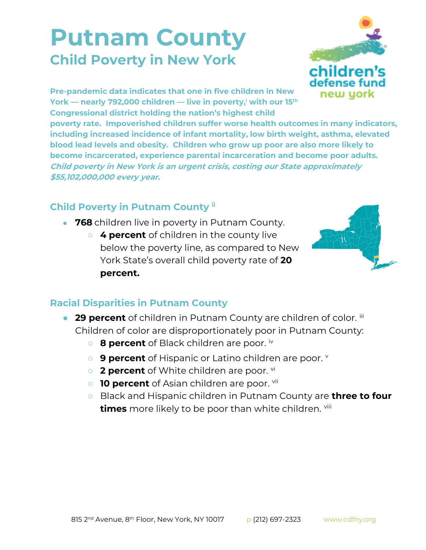## **Putnam County Child Poverty in New York**



**Pre-pandemic data indicates that one in five children in New York — nearly 792,000 children — live in poverty,<sup>i</sup> with our 15th Congressional district holding the nation's highest child** 

**poverty rate. Impoverished children suffer worse health outcomes in many indicators, including increased incidence of infant mortality, low birth weight, asthma, elevated blood lead levels and obesity. Children who grow up poor are also more likely to become incarcerated, experience parental incarceration and become poor adults. Child poverty in New York is an urgent crisis, costing our State approximately \$55,102,000,000 every year.**

## **Child Poverty in Putnam County ii**

- **768** children live in poverty in Putnam County.
	- **4 percent** of children in the county live below the poverty line, as compared to New York State's overall child poverty rate of **20 percent.**



## **Racial Disparities in Putnam County**

- **29 percent** of children in Putnam County are children of color. iii Children of color are disproportionately poor in Putnam County:
	- **8 percent** of Black children are poor. iv
	- **9 percent** of Hispanic or Latino children are poor.
	- **2 percent** of White children are poor. <sup>vi</sup>
	- **10 percent** of Asian children are poor. <sup>vii</sup>
	- Black and Hispanic children in Putnam County are **three to four times** more likely to be poor than white children. viii